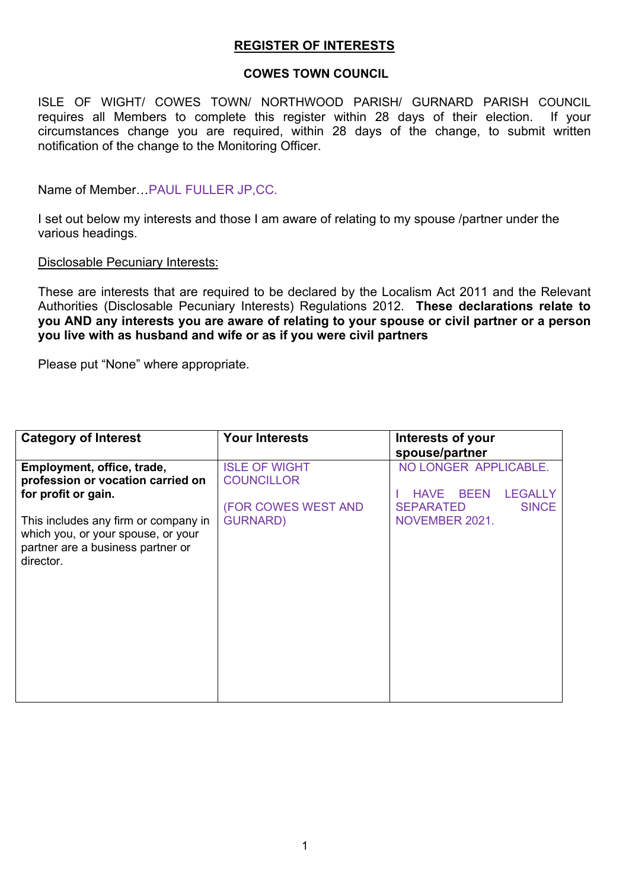# **REGISTER OF INTERESTS**

# **COWES TOWN COUNCIL**

ISLE OF WIGHT/ COWES TOWN/ NORTHWOOD PARISH/ GURNARD PARISH COUNCIL requires all Members to complete this register within 28 days of their election. If your circumstances change you are required, within 28 days of the change, to submit written notification of the change to the Monitoring Officer.

Name of Member…PAUL FULLER JP,CC.

I set out below my interests and those I am aware of relating to my spouse /partner under the various headings.

# Disclosable Pecuniary Interests:

These are interests that are required to be declared by the Localism Act 2011 and the Relevant Authorities (Disclosable Pecuniary Interests) Regulations 2012. **These declarations relate to you AND any interests you are aware of relating to your spouse or civil partner or a person you live with as husband and wife or as if you were civil partners**

Please put "None" where appropriate.

| <b>Category of Interest</b>                                                                                                  | <b>Your Interests</b>                                            | Interests of your                                                                                                           |
|------------------------------------------------------------------------------------------------------------------------------|------------------------------------------------------------------|-----------------------------------------------------------------------------------------------------------------------------|
|                                                                                                                              |                                                                  | spouse/partner                                                                                                              |
| Employment, office, trade,<br>profession or vocation carried on<br>for profit or gain.                                       | <b>ISLE OF WIGHT</b><br><b>COUNCILLOR</b><br>(FOR COWES WEST AND | NO LONGER APPLICABLE.<br><b>BEEN</b><br><b>LEGALLY</b><br><b>HAVE</b><br><b>SEPARATED</b><br><b>SINCE</b><br>NOVEMBER 2021. |
| This includes any firm or company in<br>which you, or your spouse, or your<br>partner are a business partner or<br>director. | <b>GURNARD)</b>                                                  |                                                                                                                             |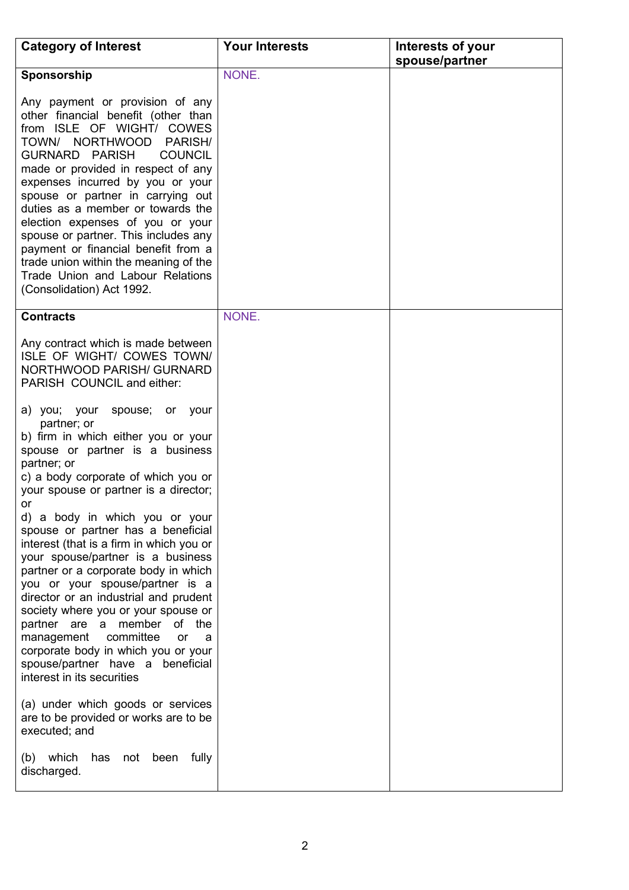| <b>Category of Interest</b>                                                                                                                                                                                                                                                                                                                                                                                                                                                                                                                                                                                                                                                                                                                 | <b>Your Interests</b> | Interests of your |
|---------------------------------------------------------------------------------------------------------------------------------------------------------------------------------------------------------------------------------------------------------------------------------------------------------------------------------------------------------------------------------------------------------------------------------------------------------------------------------------------------------------------------------------------------------------------------------------------------------------------------------------------------------------------------------------------------------------------------------------------|-----------------------|-------------------|
|                                                                                                                                                                                                                                                                                                                                                                                                                                                                                                                                                                                                                                                                                                                                             |                       | spouse/partner    |
| Sponsorship                                                                                                                                                                                                                                                                                                                                                                                                                                                                                                                                                                                                                                                                                                                                 | NONE.                 |                   |
| Any payment or provision of any<br>other financial benefit (other than<br>from ISLE OF WIGHT/ COWES<br><b>NORTHWOOD</b><br><b>PARISH/</b><br>TOWN/<br><b>GURNARD PARISH</b><br><b>COUNCIL</b><br>made or provided in respect of any<br>expenses incurred by you or your<br>spouse or partner in carrying out<br>duties as a member or towards the<br>election expenses of you or your<br>spouse or partner. This includes any<br>payment or financial benefit from a<br>trade union within the meaning of the<br>Trade Union and Labour Relations<br>(Consolidation) Act 1992.                                                                                                                                                              |                       |                   |
| <b>Contracts</b>                                                                                                                                                                                                                                                                                                                                                                                                                                                                                                                                                                                                                                                                                                                            | NONE.                 |                   |
| Any contract which is made between<br>ISLE OF WIGHT/ COWES TOWN/<br><b>NORTHWOOD PARISH/ GURNARD</b><br>PARISH COUNCIL and either:                                                                                                                                                                                                                                                                                                                                                                                                                                                                                                                                                                                                          |                       |                   |
| a) you; your<br>spouse; or your<br>partner; or<br>b) firm in which either you or your<br>spouse or partner is a business<br>partner; or<br>c) a body corporate of which you or<br>your spouse or partner is a director;<br><b>or</b><br>d) a body in which you or your<br>spouse or partner has a beneficial<br>interest (that is a firm in which you or<br>your spouse/partner is a business<br>partner or a corporate body in which<br>you or your spouse/partner is a<br>director or an industrial and prudent<br>society where you or your spouse or<br>partner are a member<br>of the<br>committee<br>management<br>or<br>- a<br>corporate body in which you or your<br>spouse/partner have a beneficial<br>interest in its securities |                       |                   |
| (a) under which goods or services<br>are to be provided or works are to be<br>executed; and                                                                                                                                                                                                                                                                                                                                                                                                                                                                                                                                                                                                                                                 |                       |                   |
| (b) which<br>has<br>not<br>been fully<br>discharged.                                                                                                                                                                                                                                                                                                                                                                                                                                                                                                                                                                                                                                                                                        |                       |                   |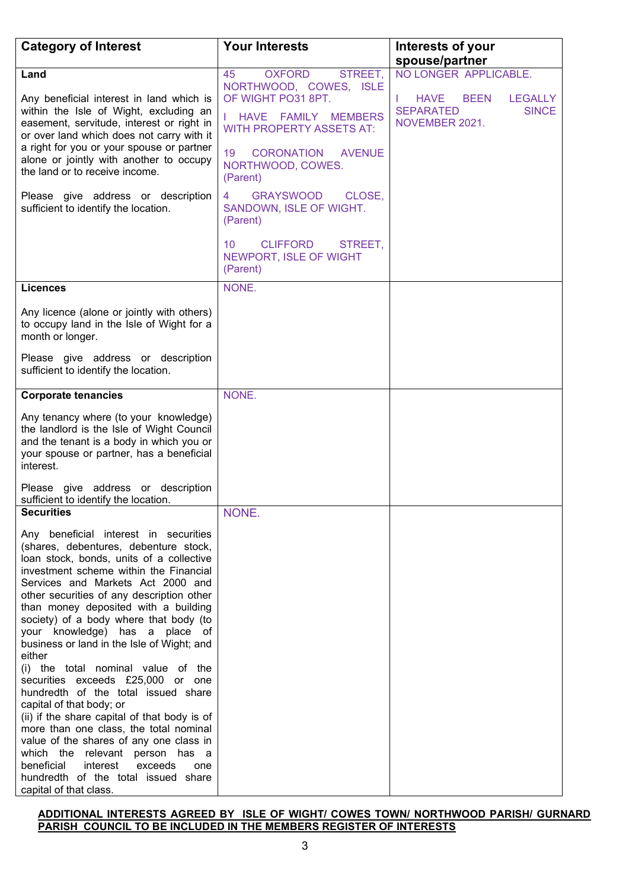| <b>Category of Interest</b>                                                                                                                                                                                                                                                                                                                                                                                                                                                                                                                                                                                                                                                                                                                                                                                                                                           | <b>Your Interests</b>                                                                                                                                                                                                                                                                                                                        | Interests of your                                                                                  |
|-----------------------------------------------------------------------------------------------------------------------------------------------------------------------------------------------------------------------------------------------------------------------------------------------------------------------------------------------------------------------------------------------------------------------------------------------------------------------------------------------------------------------------------------------------------------------------------------------------------------------------------------------------------------------------------------------------------------------------------------------------------------------------------------------------------------------------------------------------------------------|----------------------------------------------------------------------------------------------------------------------------------------------------------------------------------------------------------------------------------------------------------------------------------------------------------------------------------------------|----------------------------------------------------------------------------------------------------|
|                                                                                                                                                                                                                                                                                                                                                                                                                                                                                                                                                                                                                                                                                                                                                                                                                                                                       |                                                                                                                                                                                                                                                                                                                                              | spouse/partner                                                                                     |
| Land                                                                                                                                                                                                                                                                                                                                                                                                                                                                                                                                                                                                                                                                                                                                                                                                                                                                  | <b>OXFORD</b><br>STREET,<br>45                                                                                                                                                                                                                                                                                                               | NO LONGER APPLICABLE.                                                                              |
| Any beneficial interest in land which is<br>within the Isle of Wight, excluding an<br>easement, servitude, interest or right in<br>or over land which does not carry with it<br>a right for you or your spouse or partner<br>alone or jointly with another to occupy<br>the land or to receive income.<br>Please give address or description<br>sufficient to identify the location.                                                                                                                                                                                                                                                                                                                                                                                                                                                                                  | NORTHWOOD, COWES, ISLE<br>OF WIGHT PO31 8PT.<br>HAVE FAMILY<br><b>MEMBERS</b><br><b>WITH PROPERTY ASSETS AT:</b><br>19<br><b>CORONATION</b><br><b>AVENUE</b><br>NORTHWOOD, COWES.<br>(Parent)<br><b>GRAYSWOOD</b><br>CLOSE,<br>4<br>SANDOWN, ISLE OF WIGHT.<br>(Parent)<br>10<br><b>CLIFFORD</b><br>STREET,<br><b>NEWPORT, ISLE OF WIGHT</b> | <b>HAVE</b><br><b>BEEN</b><br><b>LEGALLY</b><br><b>SEPARATED</b><br><b>SINCE</b><br>NOVEMBER 2021. |
|                                                                                                                                                                                                                                                                                                                                                                                                                                                                                                                                                                                                                                                                                                                                                                                                                                                                       | (Parent)                                                                                                                                                                                                                                                                                                                                     |                                                                                                    |
| <b>Licences</b>                                                                                                                                                                                                                                                                                                                                                                                                                                                                                                                                                                                                                                                                                                                                                                                                                                                       | NONE.                                                                                                                                                                                                                                                                                                                                        |                                                                                                    |
| Any licence (alone or jointly with others)<br>to occupy land in the Isle of Wight for a<br>month or longer.<br>Please give address or description<br>sufficient to identify the location.                                                                                                                                                                                                                                                                                                                                                                                                                                                                                                                                                                                                                                                                             |                                                                                                                                                                                                                                                                                                                                              |                                                                                                    |
|                                                                                                                                                                                                                                                                                                                                                                                                                                                                                                                                                                                                                                                                                                                                                                                                                                                                       |                                                                                                                                                                                                                                                                                                                                              |                                                                                                    |
| <b>Corporate tenancies</b>                                                                                                                                                                                                                                                                                                                                                                                                                                                                                                                                                                                                                                                                                                                                                                                                                                            | NONE.                                                                                                                                                                                                                                                                                                                                        |                                                                                                    |
| Any tenancy where (to your knowledge)<br>the landlord is the Isle of Wight Council<br>and the tenant is a body in which you or<br>your spouse or partner, has a beneficial<br>interest.<br>Please give address or description<br>sufficient to identify the location.                                                                                                                                                                                                                                                                                                                                                                                                                                                                                                                                                                                                 |                                                                                                                                                                                                                                                                                                                                              |                                                                                                    |
| <b>Securities</b>                                                                                                                                                                                                                                                                                                                                                                                                                                                                                                                                                                                                                                                                                                                                                                                                                                                     | NONE.                                                                                                                                                                                                                                                                                                                                        |                                                                                                    |
| Any beneficial interest in securities<br>(shares, debentures, debenture stock,<br>loan stock, bonds, units of a collective<br>investment scheme within the Financial<br>Services and Markets Act 2000 and<br>other securities of any description other<br>than money deposited with a building<br>society) of a body where that body (to<br>your knowledge) has a place of<br>business or land in the Isle of Wight; and<br>either<br>(i) the total nominal value of the<br>securities exceeds £25,000 or one<br>hundredth of the total issued share<br>capital of that body; or<br>(ii) if the share capital of that body is of<br>more than one class, the total nominal<br>value of the shares of any one class in<br>which the relevant person has a<br>beneficial<br>interest<br>exceeds<br>one<br>hundredth of the total issued share<br>capital of that class. |                                                                                                                                                                                                                                                                                                                                              |                                                                                                    |

### **ADDITIONAL INTERESTS AGREED BY ISLE OF WIGHT/ COWES TOWN/ NORTHWOOD PARISH/ GURNARD PARISH COUNCIL TO BE INCLUDED IN THE MEMBERS REGISTER OF INTERESTS**